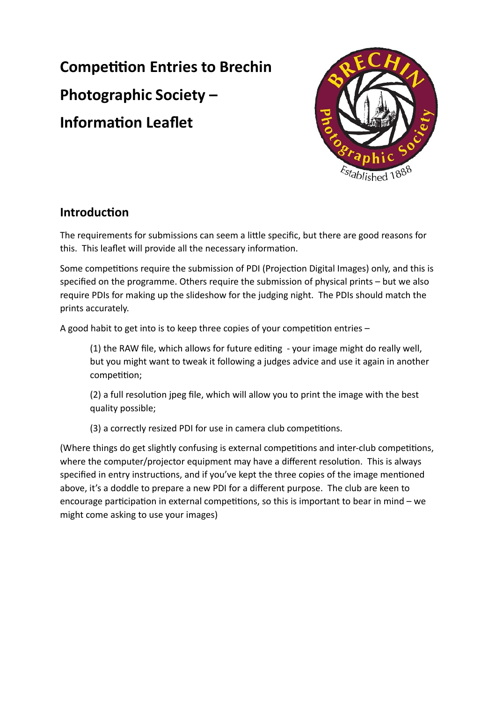# **Competition Entries to Brechin Photographic Society – Information Leaflet**



# **Introduction**

The requirements for submissions can seem a little specific, but there are good reasons for this. This leaflet will provide all the necessary information.

Some competitions require the submission of PDI (Projection Digital Images) only, and this is specified on the programme. Others require the submission of physical prints – but we also require PDIs for making up the slideshow for the judging night. The PDIs should match the prints accurately.

A good habit to get into is to keep three copies of your competition entries –

(1) the RAW file, which allows for future editing - your image might do really well, but you might want to tweak it following a judges advice and use it again in another competition;

(2) a full resolution jpeg file, which will allow you to print the image with the best quality possible;

(3) a correctly resized PDI for use in camera club competitions.

(Where things do get slightly confusing is external competitions and inter-club competitions, where the computer/projector equipment may have a different resolution. This is always specified in entry instructions, and if you've kept the three copies of the image mentioned above, it's a doddle to prepare a new PDI for a different purpose. The club are keen to encourage participation in external competitions, so this is important to bear in mind – we might come asking to use your images)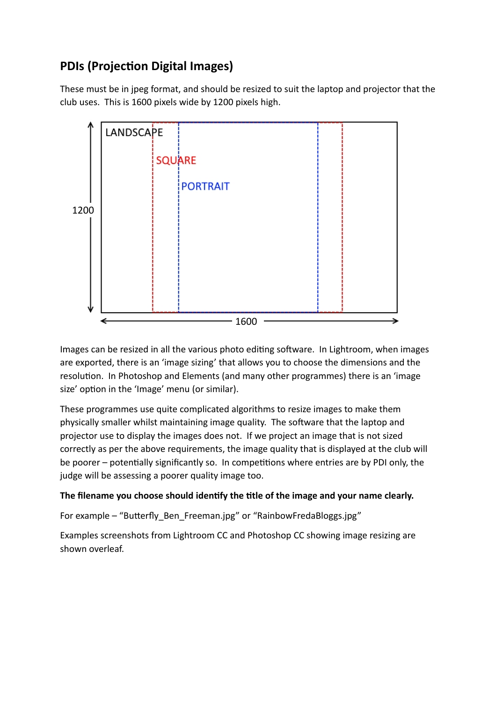# **PDIs (Projection Digital Images)**

These must be in jpeg format, and should be resized to suit the laptop and projector that the club uses. This is 1600 pixels wide by 1200 pixels high.



Images can be resized in all the various photo editing software. In Lightroom, when images are exported, there is an 'image sizing' that allows you to choose the dimensions and the resolution. In Photoshop and Elements (and many other programmes) there is an 'image size' option in the 'Image' menu (or similar).

These programmes use quite complicated algorithms to resize images to make them physically smaller whilst maintaining image quality. The software that the laptop and projector use to display the images does not. If we project an image that is not sized correctly as per the above requirements, the image quality that is displayed at the club will be poorer – potentially significantly so. In competitions where entries are by PDI only, the judge will be assessing a poorer quality image too.

### **The filename you choose should identify the title of the image and your name clearly.**

For example – "Butterfly Ben Freeman.jpg" or "RainbowFredaBloggs.jpg"

Examples screenshots from Lightroom CC and Photoshop CC showing image resizing are shown overleaf.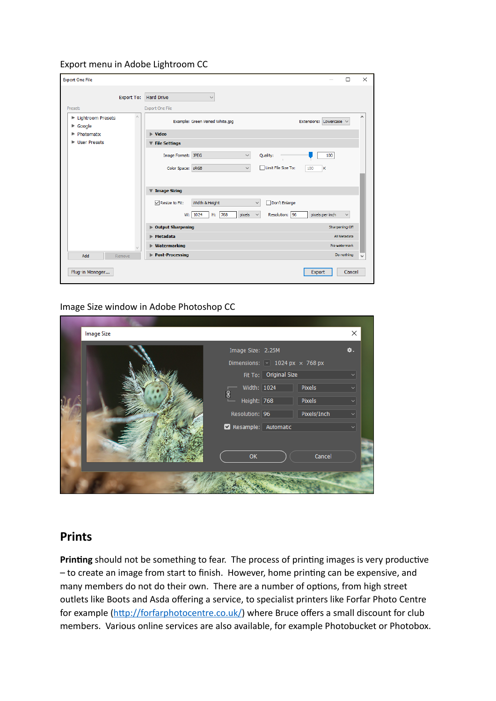#### Export menu in Adobe Lightroom CC

| <b>Export One File</b>                                          |                                                                            | $\Box$                          | $\times$                 |
|-----------------------------------------------------------------|----------------------------------------------------------------------------|---------------------------------|--------------------------|
| <b>Export To:</b>                                               | <b>Hard Drive</b><br>$\checkmark$                                          |                                 |                          |
| Preset:                                                         | <b>Export One File</b>                                                     |                                 |                          |
| $\mathcal{O}_1$<br>Eightroom Presets<br>$\triangleright$ Google | Example: Green Veined White.jpg                                            | Extensions: Lowercase           |                          |
| ▶ Photomatix                                                    | $\blacktriangleright$ Video                                                |                                 |                          |
| ▶ User Presets                                                  | <b>File Settings</b><br>$\overline{\mathbf{v}}$                            |                                 |                          |
|                                                                 | Quality:<br>Image Format: JPEG<br>$\checkmark$<br>$\sim$                   | 100                             |                          |
|                                                                 | Limit File Size To:<br>Color Space: SRGB<br>$\checkmark$                   | 100<br>κ                        |                          |
|                                                                 |                                                                            |                                 |                          |
|                                                                 | <b>Image Sizing</b><br>$\overline{\mathbf{v}}$                             |                                 |                          |
|                                                                 | $\nabla$ Resize to Fit:<br>Width & Height<br>Don't Enlarge<br>$\checkmark$ |                                 |                          |
|                                                                 | W: 1024<br>768<br>pixels<br>Resolution: 96<br>H:<br>$\checkmark$           | pixels per inch<br>$\checkmark$ |                          |
|                                                                 | <b>Dutput Sharpening</b>                                                   | <b>Sharpening Off</b>           |                          |
|                                                                 | $\blacktriangleright$ Metadata                                             | All Metadata                    |                          |
| $\omega$                                                        | ▶ Watermarking                                                             | No watermark                    |                          |
| Add<br>Remove                                                   | Post-Processing                                                            | Do nothing                      | $\overline{\phantom{0}}$ |
| Plug-in Manager                                                 |                                                                            | Cancel<br>Export                |                          |

#### Image Size window in Adobe Photoshop CC

| <b>Image Size</b> |                                        |                                                    |             | ×  |
|-------------------|----------------------------------------|----------------------------------------------------|-------------|----|
|                   | Image Size: 2.25M                      |                                                    |             | 쓥. |
|                   |                                        | Dimensions: $\boxed{\vee}$ 1024 px $\times$ 768 px |             |    |
|                   |                                        | Fit To: Original Size                              |             |    |
|                   | Width: 1024                            |                                                    | Pixels      |    |
|                   | $\bf{3}$<br><u>ت من</u><br>Height: 768 |                                                    | Pixels      |    |
|                   | Resolution: 96                         |                                                    | Pixels/Inch |    |
|                   | Resample: Automatic                    |                                                    |             |    |
|                   | OK                                     |                                                    | Cancel      |    |
|                   |                                        |                                                    |             |    |

## **Prints**

**Printing** should not be something to fear. The process of printing images is very productive – to create an image from start to finish. However, home printing can be expensive, and many members do not do their own. There are a number of options, from high street outlets like Boots and Asda offering a service, to specialist printers like Forfar Photo Centre for example [\(http://forfarphotocentre.co.uk/](http://forfarphotocentre.co.uk/)) where Bruce offers a small discount for club members. Various online services are also available, for example Photobucket or Photobox.